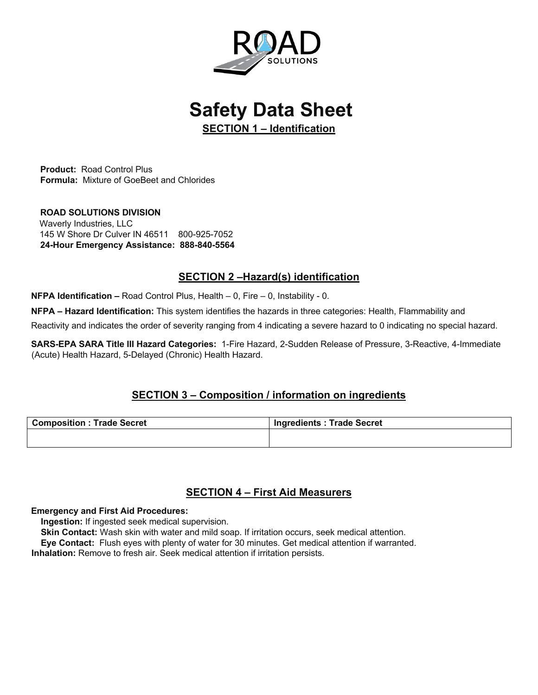

**Safety Data Sheet** 

**SECTION 1 – Identification**

**Product:** Road Control Plus **Formula:** Mixture of GoeBeet and Chlorides

**ROAD SOLUTIONS DIVISION** Waverly Industries, LLC 145 W Shore Dr Culver IN 46511 800-925-7052 **24-Hour Emergency Assistance: 888-840-5564**

## **SECTION 2 –Hazard(s) identification**

**NFPA Identification –** Road Control Plus, Health – 0, Fire – 0, Instability - 0.

**NFPA – Hazard Identification:** This system identifies the hazards in three categories: Health, Flammability and

Reactivity and indicates the order of severity ranging from 4 indicating a severe hazard to 0 indicating no special hazard.

**SARS-EPA SARA Title III Hazard Categories:** 1-Fire Hazard, 2-Sudden Release of Pressure, 3-Reactive, 4-Immediate (Acute) Health Hazard, 5-Delayed (Chronic) Health Hazard.

# **SECTION 3 – Composition / information on ingredients**

| <b>Composition: Trade Secret</b> | Ingredients : Trade Secret |
|----------------------------------|----------------------------|
|                                  |                            |

## **SECTION 4 – First Aid Measurers**

#### **Emergency and First Aid Procedures:**

 **Ingestion:** If ingested seek medical supervision.

**Skin Contact:** Wash skin with water and mild soap. If irritation occurs, seek medical attention.

**Eye Contact:** Flush eyes with plenty of water for 30 minutes. Get medical attention if warranted.

**Inhalation:** Remove to fresh air. Seek medical attention if irritation persists.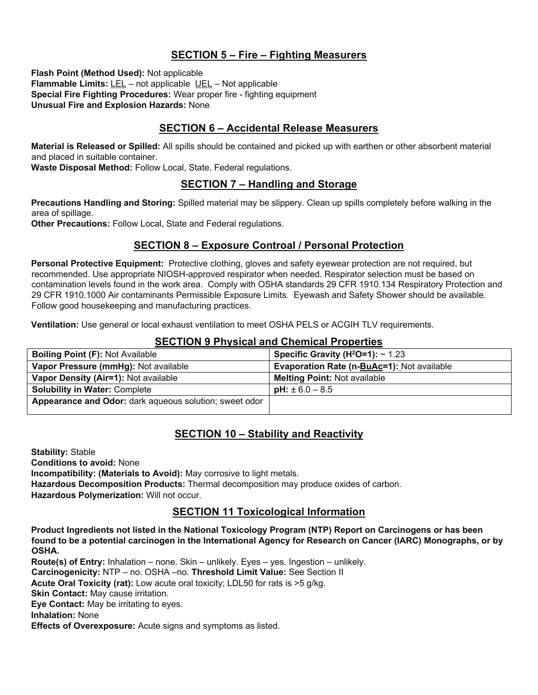## **SECTION 5 – Fire – Fighting Measurers**

**Flash Point (Method Used):** Not applicable **Flammable Limits:** LEL – not applicable UEL – Not applicable **Special Fire Fighting Procedures:** Wear proper fire - fighting equipment **Unusual Fire and Explosion Hazards:** None

### **SECTION 6 – Accidental Release Measurers**

**Material is Released or Spilled:** All spills should be contained and picked up with earthen or other absorbent material and placed in suitable container.

**Waste Disposal Method:** Follow Local, State, Federal regulations.

### **SECTION 7 – Handling and Storage**

**Precautions Handling and Storing:** Spilled material may be slippery. Clean up spills completely before walking in the area of spillage.

**Other Precautions:** Follow Local, State and Federal regulations.

### **SECTION 8 – Exposure Controal / Personal Protection**

**Personal Protective Equipment:** Protective clothing, gloves and safety eyewear protection are not required, but recommended. Use appropriate NIOSH-approved respirator when needed. Respirator selection must be based on contamination levels found in the work area. Comply with OSHA standards 29 CFR 1910.134 Respiratory Protection and 29 CFR 1910.1000 Air contaminants Permissible Exposure Limits. Eyewash and Safety Shower should be available. Follow good housekeeping and manufacturing practices.

**Ventilation:** Use general or local exhaust ventilation to meet OSHA PELS or ACGIH TLV requirements.

#### **SECTION 9 Physical and Chemical Properties**

| <b>Boiling Point (F): Not Available</b>                | Specific Gravity ( $H^2O=1$ ): ~ 1.23      |
|--------------------------------------------------------|--------------------------------------------|
| Vapor Pressure (mmHg): Not available                   | Evaporation Rate (n-BuAc=1): Not available |
| Vapor Density (Air=1): Not available                   | <b>Melting Point: Not available</b>        |
| <b>Solubility in Water: Complete</b>                   | $pH: \pm 6.0 - 8.5$                        |
| Appearance and Odor: dark aqueous solution; sweet odor |                                            |
|                                                        |                                            |

## **SECTION 10 – Stability and Reactivity**

**Stability:** Stable **Conditions to avoid:** None **Incompatibility: (Materials to Avoid):** May corrosive to light metals. **Hazardous Decomposition Products:** Thermal decomposition may produce oxides of carbon. **Hazardous Polymerization:** Will not occur.

### **SECTION 11 Toxicological Information**

**Product Ingredients not listed in the National Toxicology Program (NTP) Report on Carcinogens or has been found to be a potential carcinogen in the International Agency for Research on Cancer (IARC) Monographs, or by OSHA.** 

**Route(s) of Entry:** Inhalation – none. Skin – unlikely. Eyes – yes. Ingestion – unlikely. **Carcinogenicity:** NTP – no. OSHA –no. **Threshold Limit Value:** See Section II **Acute Oral Toxicity (rat):** Low acute oral toxicity; LDL50 for rats is >5 g/kg. **Skin Contact:** May cause irritation. **Eye Contact:** May be irritating to eyes.

**Inhalation:** None

**Effects of Overexposure:** Acute signs and symptoms as listed.